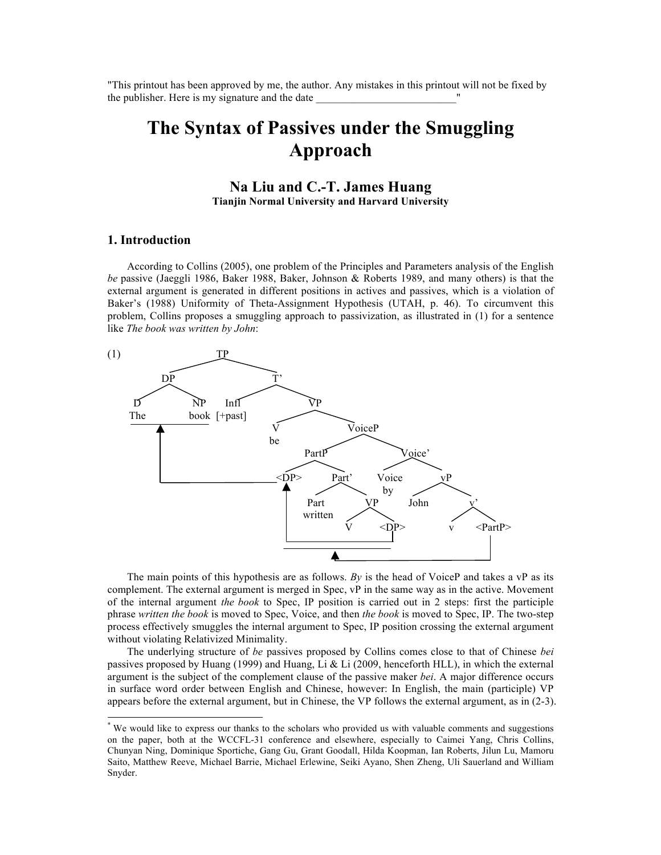"This printout has been approved by me, the author. Any mistakes in this printout will not be fixed by the publisher. Here is my signature and the date

# **The Syntax of Passives under the Smuggling Approach**

**Na Liu and C.-T. James Huang Tianjin Normal University and Harvard University**

## **1. Introduction\***

According to Collins (2005), one problem of the Principles and Parameters analysis of the English *be* passive (Jaeggli 1986, Baker 1988, Baker, Johnson & Roberts 1989, and many others) is that the external argument is generated in different positions in actives and passives, which is a violation of Baker's (1988) Uniformity of Theta-Assignment Hypothesis (UTAH, p. 46). To circumvent this problem, Collins proposes a smuggling approach to passivization, as illustrated in (1) for a sentence like *The book was written by John*:



The main points of this hypothesis are as follows. *By* is the head of VoiceP and takes a vP as its complement. The external argument is merged in Spec, vP in the same way as in the active. Movement of the internal argument *the book* to Spec, IP position is carried out in 2 steps: first the participle phrase *written the book* is moved to Spec, Voice, and then *the book* is moved to Spec, IP. The two-step process effectively smuggles the internal argument to Spec, IP position crossing the external argument without violating Relativized Minimality.

The underlying structure of *be* passives proposed by Collins comes close to that of Chinese *bei* passives proposed by Huang (1999) and Huang, Li & Li (2009, henceforth HLL), in which the external argument is the subject of the complement clause of the passive maker *bei*. A major difference occurs in surface word order between English and Chinese, however: In English, the main (participle) VP appears before the external argument, but in Chinese, the VP follows the external argument, as in (2-3).

 <sup>\*</sup> We would like to express our thanks to the scholars who provided us with valuable comments and suggestions on the paper, both at the WCCFL-31 conference and elsewhere, especially to Caimei Yang, Chris Collins, Chunyan Ning, Dominique Sportiche, Gang Gu, Grant Goodall, Hilda Koopman, Ian Roberts, Jilun Lu, Mamoru Saito, Matthew Reeve, Michael Barrie, Michael Erlewine, Seiki Ayano, Shen Zheng, Uli Sauerland and William Snyder.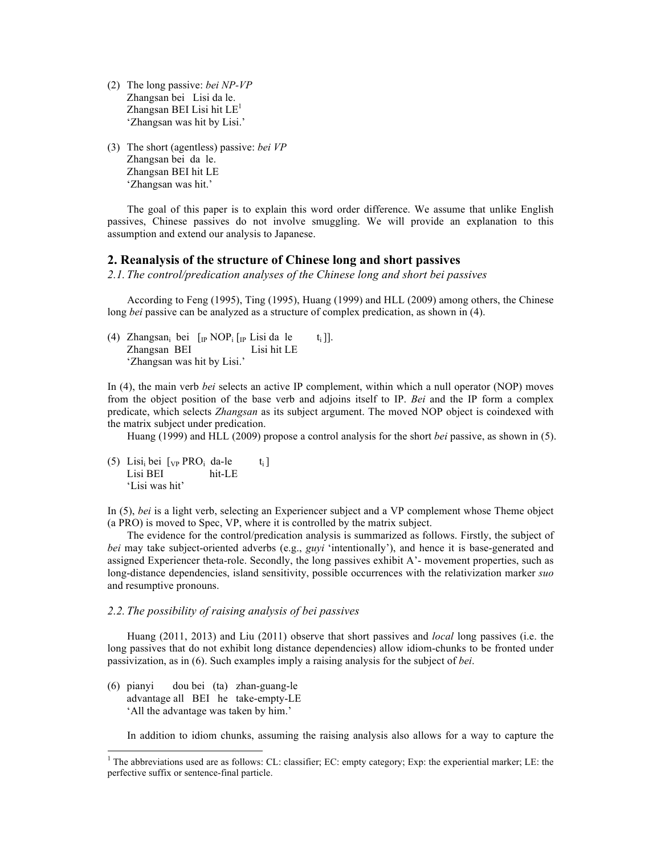- (2) The long passive: *bei NP-VP* Zhangsan bei Lisi da le. Zhangsan BEI Lisi hit  $LE<sup>1</sup>$ 'Zhangsan was hit by Lisi.'
- (3) The short (agentless) passive: *bei VP* Zhangsan bei da le. Zhangsan BEI hit LE 'Zhangsan was hit.'

The goal of this paper is to explain this word order difference. We assume that unlike English passives, Chinese passives do not involve smuggling. We will provide an explanation to this assumption and extend our analysis to Japanese.

# **2. Reanalysis of the structure of Chinese long and short passives**

*2.1. The control/predication analyses of the Chinese long and short bei passives*

According to Feng (1995), Ting (1995), Huang (1999) and HLL (2009) among others, the Chinese long *bei* passive can be analyzed as a structure of complex predication, as shown in (4).

(4) Zhangsan<sub>i</sub> bei  $[\text{IP NOP}_i]$  [IP Lisi da le t<sub>i</sub>]]. Zhangsan BEI Lisi hit LE 'Zhangsan was hit by Lisi.'

In (4), the main verb *bei* selects an active IP complement, within which a null operator (NOP) moves from the object position of the base verb and adjoins itself to IP. *Bei* and the IP form a complex predicate, which selects *Zhangsan* as its subject argument. The moved NOP object is coindexed with the matrix subject under predication.

Huang (1999) and HLL (2009) propose a control analysis for the short *bei* passive, as shown in (5).

(5) Lisi<sub>i</sub> bei  $[\text{VP} \text{ PRO}_i \text{ da-le } t_i]$ Lisi BEI hit-LE 'Lisi was hit'

In (5), *bei* is a light verb, selecting an Experiencer subject and a VP complement whose Theme object (a PRO) is moved to Spec, VP, where it is controlled by the matrix subject.

The evidence for the control/predication analysis is summarized as follows. Firstly, the subject of *bei* may take subject-oriented adverbs (e.g., *guyi* 'intentionally'), and hence it is base-generated and assigned Experiencer theta-role. Secondly, the long passives exhibit A'- movement properties, such as long-distance dependencies, island sensitivity, possible occurrences with the relativization marker *suo* and resumptive pronouns.

#### *2.2. The possibility of raising analysis of bei passives*

Huang (2011, 2013) and Liu (2011) observe that short passives and *local* long passives (i.e. the long passives that do not exhibit long distance dependencies) allow idiom-chunks to be fronted under passivization, as in (6). Such examples imply a raising analysis for the subject of *bei*.

(6) pianyi dou bei (ta) zhan-guang-le advantage all BEI he take-empty-LE 'All the advantage was taken by him.'

In addition to idiom chunks, assuming the raising analysis also allows for a way to capture the

 <sup>1</sup> The abbreviations used are as follows: CL: classifier; EC: empty category; Exp: the experiential marker; LE: the perfective suffix or sentence-final particle.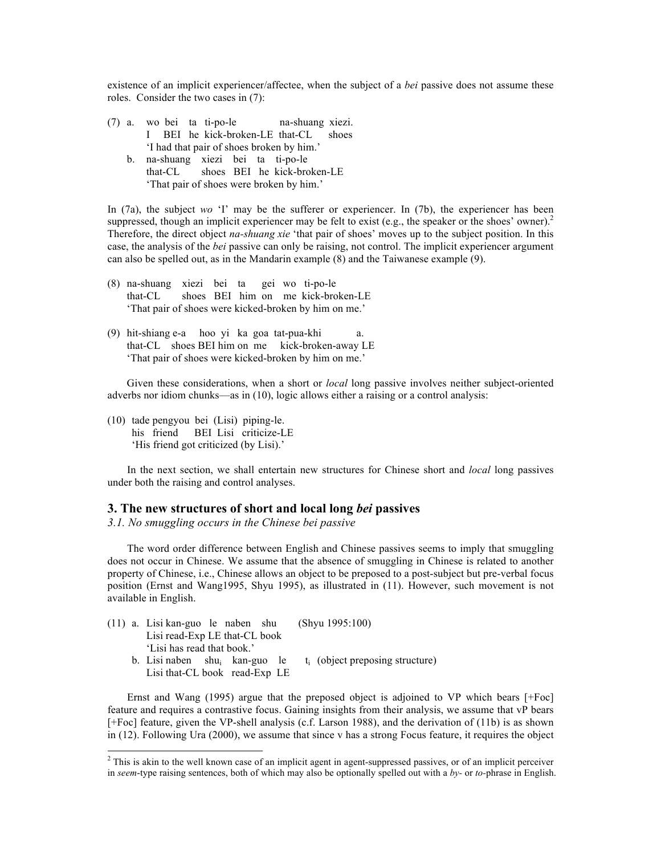existence of an implicit experiencer/affectee, when the subject of a *bei* passive does not assume these roles. Consider the two cases in (7):

- (7) a. wo bei ta ti-po-le na-shuang xiezi. I BEI he kick-broken-LE that-CL shoes 'I had that pair of shoes broken by him.'
	- b. na-shuang xiezi bei ta ti-po-le that-CL shoes BEI he kick-broken-LE 'That pair of shoes were broken by him.'

In (7a), the subject *wo* 'I' may be the sufferer or experiencer. In (7b), the experiencer has been suppressed, though an implicit experiencer may be felt to exist (e.g., the speaker or the shoes' owner).<sup>2</sup> Therefore, the direct object *na-shuang xie* 'that pair of shoes' moves up to the subject position. In this case, the analysis of the *bei* passive can only be raising, not control. The implicit experiencer argument can also be spelled out, as in the Mandarin example (8) and the Taiwanese example (9).

- (8) na-shuang xiezi bei ta gei wo ti-po-le that-CL shoes BEI him on me kick-broken-LE 'That pair of shoes were kicked-broken by him on me.'
- (9) hit-shiang e-a hoo yi ka goa tat-pua-khi a. that-CL shoes BEI him on me kick-broken-away LE 'That pair of shoes were kicked-broken by him on me.'

Given these considerations, when a short or *local* long passive involves neither subject-oriented adverbs nor idiom chunks—as in (10), logic allows either a raising or a control analysis:

(10) tade pengyou bei (Lisi) piping-le. his friend BEI Lisi criticize-LE 'His friend got criticized (by Lisi).'

In the next section, we shall entertain new structures for Chinese short and *local* long passives under both the raising and control analyses.

### **3. The new structures of short and local long** *bei* **passives**

*3.1. No smuggling occurs in the Chinese bei passive*

The word order difference between English and Chinese passives seems to imply that smuggling does not occur in Chinese. We assume that the absence of smuggling in Chinese is related to another property of Chinese, i.e., Chinese allows an object to be preposed to a post-subject but pre-verbal focus position (Ernst and Wang1995, Shyu 1995), as illustrated in (11). However, such movement is not available in English.

|  | $(11)$ a. Lisi kan-guo le naben shu       |  |  | (Shvu 1995:100)                    |  |  |  |  |  |  |  |
|--|-------------------------------------------|--|--|------------------------------------|--|--|--|--|--|--|--|
|  | Lisi read-Exp LE that-CL book             |  |  |                                    |  |  |  |  |  |  |  |
|  | 'Lisi has read that book.'                |  |  |                                    |  |  |  |  |  |  |  |
|  | b. Lisi naben shu <sub>i</sub> kan-guo le |  |  | $t_i$ (object preposing structure) |  |  |  |  |  |  |  |
|  | Lisi that-CL book read-Exp LE             |  |  |                                    |  |  |  |  |  |  |  |
|  |                                           |  |  |                                    |  |  |  |  |  |  |  |

Ernst and Wang (1995) argue that the preposed object is adjoined to VP which bears [+Foc] feature and requires a contrastive focus. Gaining insights from their analysis, we assume that vP bears [+Foc] feature, given the VP-shell analysis (c.f. Larson 1988), and the derivation of (11b) is as shown in (12). Following Ura (2000), we assume that since v has a strong Focus feature, it requires the object

 $2$  This is akin to the well known case of an implicit agent in agent-suppressed passives, or of an implicit perceiver in *seem*-type raising sentences, both of which may also be optionally spelled out with a *by-* or *to-*phrase in English.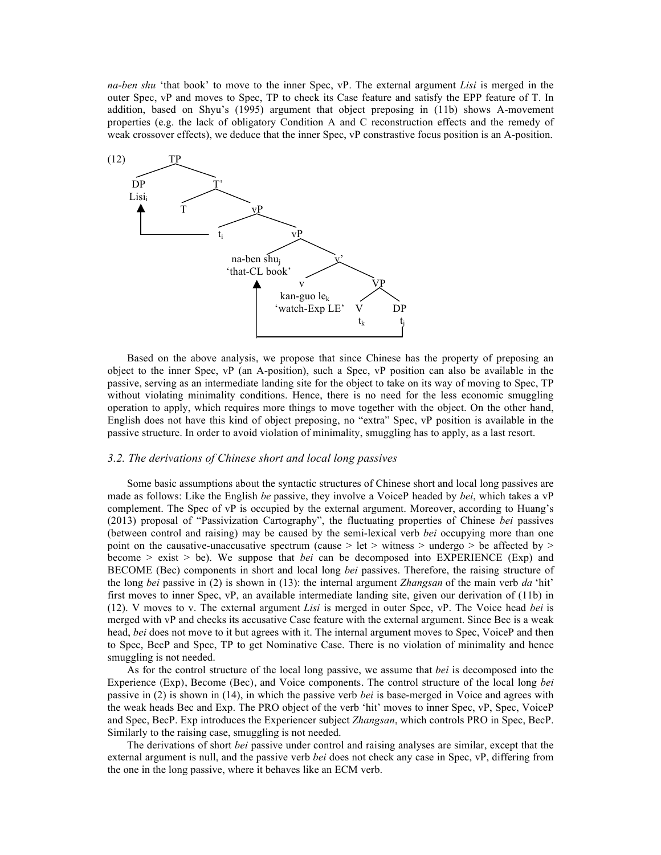*na-ben shu* 'that book' to move to the inner Spec, vP. The external argument *Lisi* is merged in the outer Spec, vP and moves to Spec, TP to check its Case feature and satisfy the EPP feature of T. In addition, based on Shyu's (1995) argument that object preposing in (11b) shows A-movement properties (e.g. the lack of obligatory Condition A and C reconstruction effects and the remedy of weak crossover effects), we deduce that the inner Spec, vP constrastive focus position is an A-position.



Based on the above analysis, we propose that since Chinese has the property of preposing an object to the inner Spec, vP (an A-position), such a Spec, vP position can also be available in the passive, serving as an intermediate landing site for the object to take on its way of moving to Spec, TP without violating minimality conditions. Hence, there is no need for the less economic smuggling operation to apply, which requires more things to move together with the object. On the other hand, English does not have this kind of object preposing, no "extra" Spec, vP position is available in the passive structure. In order to avoid violation of minimality, smuggling has to apply, as a last resort.

#### *3.2. The derivations of Chinese short and local long passives*

Some basic assumptions about the syntactic structures of Chinese short and local long passives are made as follows: Like the English *be* passive, they involve a VoiceP headed by *bei*, which takes a vP complement. The Spec of vP is occupied by the external argument. Moreover, according to Huang's (2013) proposal of "Passivization Cartography", the fluctuating properties of Chinese *bei* passives (between control and raising) may be caused by the semi-lexical verb *bei* occupying more than one point on the causative-unaccusative spectrum (cause > let > witness > undergo > be affected by > become > exist > be). We suppose that *bei* can be decomposed into EXPERIENCE (Exp) and BECOME (Bec) components in short and local long *bei* passives. Therefore, the raising structure of the long *bei* passive in (2) is shown in (13): the internal argument *Zhangsan* of the main verb *da* 'hit' first moves to inner Spec, vP, an available intermediate landing site, given our derivation of (11b) in (12). V moves to v. The external argument *Lisi* is merged in outer Spec, vP. The Voice head *bei* is merged with vP and checks its accusative Case feature with the external argument. Since Bec is a weak head, *bei* does not move to it but agrees with it. The internal argument moves to Spec, VoiceP and then to Spec, BecP and Spec, TP to get Nominative Case. There is no violation of minimality and hence smuggling is not needed.

As for the control structure of the local long passive, we assume that *bei* is decomposed into the Experience (Exp), Become (Bec), and Voice components. The control structure of the local long *bei* passive in (2) is shown in (14), in which the passive verb *bei* is base-merged in Voice and agrees with the weak heads Bec and Exp. The PRO object of the verb 'hit' moves to inner Spec, vP, Spec, VoiceP and Spec, BecP. Exp introduces the Experiencer subject *Zhangsan*, which controls PRO in Spec, BecP. Similarly to the raising case, smuggling is not needed.

The derivations of short *bei* passive under control and raising analyses are similar, except that the external argument is null, and the passive verb *bei* does not check any case in Spec, vP, differing from the one in the long passive, where it behaves like an ECM verb.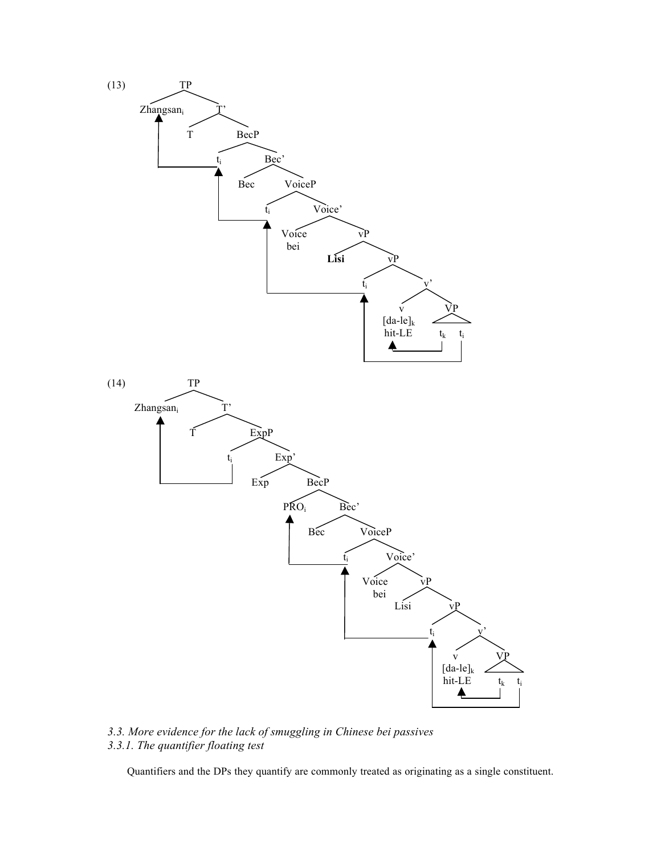

*3.3. More evidence for the lack of smuggling in Chinese bei passives 3.3.1. The quantifier floating test*

Quantifiers and the DPs they quantify are commonly treated as originating as a single constituent.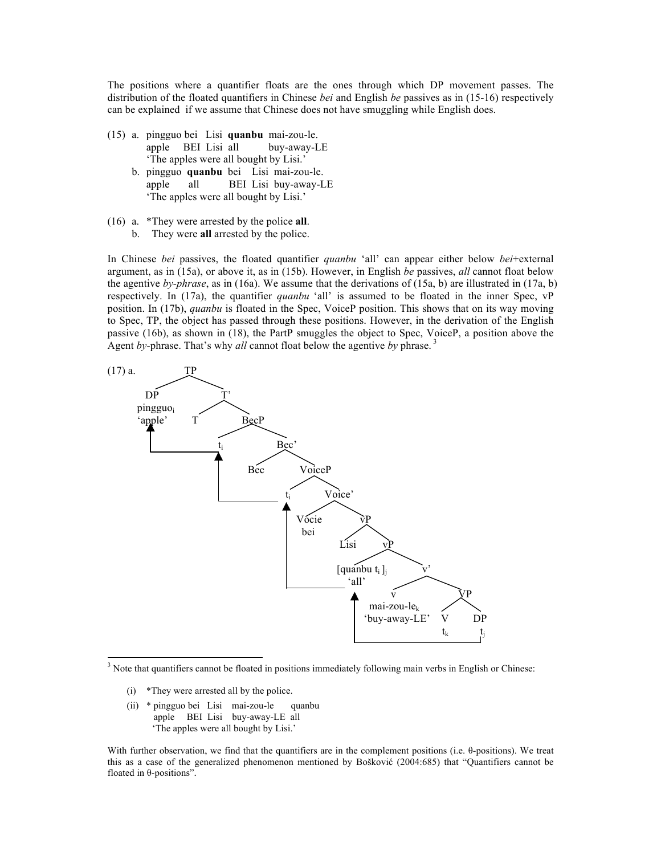The positions where a quantifier floats are the ones through which DP movement passes. The distribution of the floated quantifiers in Chinese *bei* and English *be* passives as in (15-16) respectively can be explained if we assume that Chinese does not have smuggling while English does.

- (15) a. pingguo bei Lisi **quanbu** mai-zou-le. apple BEI Lisi all buy-away-LE 'The apples were all bought by Lisi.'
	- b. pingguo **quanbu** bei Lisi mai-zou-le. apple all BEI Lisi buy-away-LE 'The apples were all bought by Lisi.'
- (16) a. \*They were arrested by the police **all**.
	- b. They were **all** arrested by the police.

In Chinese *bei* passives, the floated quantifier *quanbu* 'all' can appear either below *bei*+external argument, as in (15a), or above it, as in (15b). However, in English *be* passives, *all* cannot float below the agentive *by-phrase*, as in (16a). We assume that the derivations of (15a, b) are illustrated in (17a, b) respectively. In (17a), the quantifier *quanbu* 'all' is assumed to be floated in the inner Spec, vP position. In (17b), *quanbu* is floated in the Spec, VoiceP position. This shows that on its way moving to Spec, TP, the object has passed through these positions. However, in the derivation of the English passive (16b), as shown in (18), the PartP smuggles the object to Spec, VoiceP, a position above the Agent *by-*phrase. That's why *all* cannot float below the agentive *by* phrase. <sup>3</sup>



 $3$  Note that quantifiers cannot be floated in positions immediately following main verbs in English or Chinese:

- (i) \*They were arrested all by the police.
- (ii) \* pingguo bei Lisi mai-zou-le quanbu apple BEI Lisi buy-away-LE all 'The apples were all bought by Lisi.'

With further observation, we find that the quantifiers are in the complement positions (i.e. θ-positions). We treat this as a case of the generalized phenomenon mentioned by Bošković (2004:685) that "Quantifiers cannot be floated in θ-positions".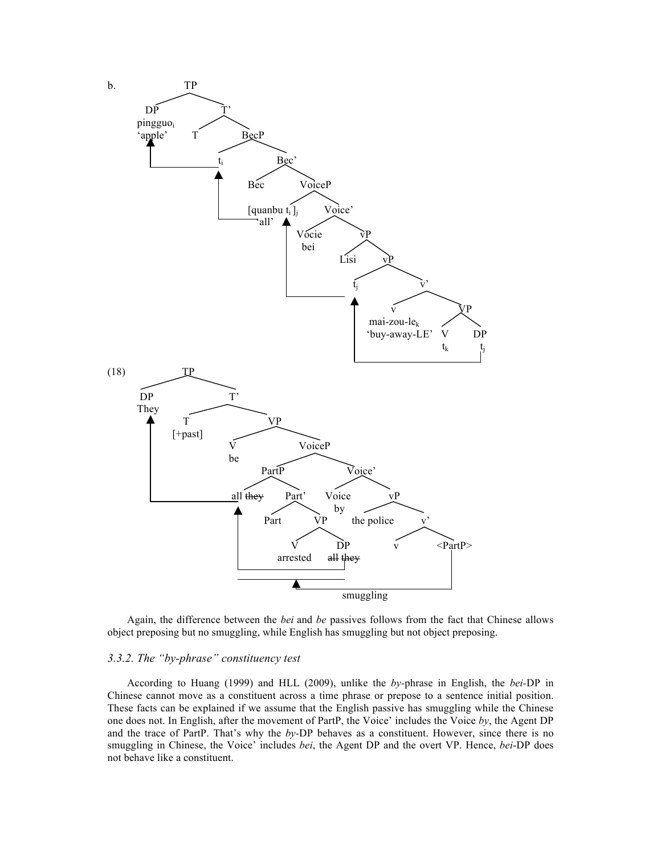

Again, the difference between the *bei* and *be* passives follows from the fact that Chinese allows object preposing but no smuggling, while English has smuggling but not object preposing.

# *3.3.2. The "by-phrase" constituency test*

According to Huang (1999) and HLL (2009), unlike the *by-*phrase in English, the *bei-*DP in Chinese cannot move as a constituent across a time phrase or prepose to a sentence initial position. These facts can be explained if we assume that the English passive has smuggling while the Chinese one does not. In English, after the movement of PartP, the Voice' includes the Voice *by*, the Agent DP and the trace of PartP. That's why the *by-*DP behaves as a constituent. However, since there is no smuggling in Chinese, the Voice' includes *bei*, the Agent DP and the overt VP. Hence, *bei*-DP does not behave like a constituent.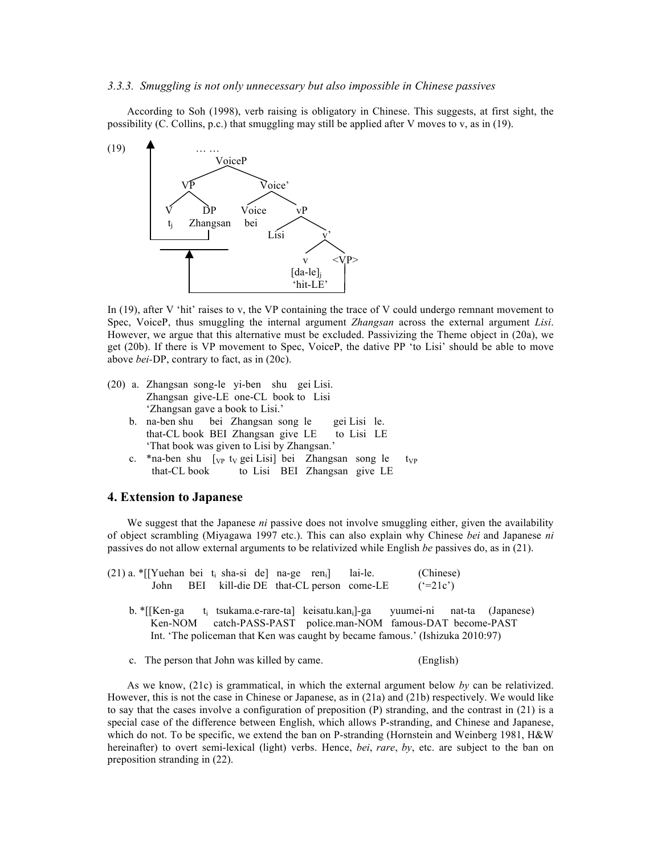#### *3.3.3. Smuggling is not only unnecessary but also impossible in Chinese passives*

According to Soh (1998), verb raising is obligatory in Chinese. This suggests, at first sight, the possibility (C. Collins, p.c.) that smuggling may still be applied after V moves to v, as in (19).



In (19), after V 'hit' raises to v, the VP containing the trace of V could undergo remnant movement to Spec, VoiceP, thus smuggling the internal argument *Zhangsan* across the external argument *Lisi*. However, we argue that this alternative must be excluded. Passivizing the Theme object in (20a), we get (20b). If there is VP movement to Spec, VoiceP, the dative PP 'to Lisi' should be able to move above *bei-*DP, contrary to fact, as in (20c).

- (20) a. Zhangsan song-le yi-ben shu gei Lisi. Zhangsan give-LE one-CL book to Lisi 'Zhangsan gave a book to Lisi.'
	- b. na-ben shu bei Zhangsan song le gei Lisi le. that-CL book BEI Zhangsan give LE to Lisi LE 'That book was given to Lisi by Zhangsan.'
	- c. \*na-ben shu  $\lceil v \rceil$  ty gei Lisi) bei Zhangsan song le typ that-CL book to Lisi BEI Zhangsan give LE

## **4. Extension to Japanese**

We suggest that the Japanese *ni* passive does not involve smuggling either, given the availability of object scrambling (Miyagawa 1997 etc.). This can also explain why Chinese *bei* and Japanese *ni*  passives do not allow external arguments to be relativized while English *be* passives do, as in (21).

| $(21)$ a. *[[Yuehan bei t <sub>i</sub> sha-si de] na-ge ren <sub>i</sub> ] lai-le. |  |  |                                        | (Chinese)                                                                       |  |
|------------------------------------------------------------------------------------|--|--|----------------------------------------|---------------------------------------------------------------------------------|--|
| John                                                                               |  |  | BEI kill-die DE that-CL person come-LE | $(^{6}=21c)$                                                                    |  |
|                                                                                    |  |  |                                        |                                                                                 |  |
|                                                                                    |  |  |                                        | b. *[[Ken-ga t; tsukama.e-rare-ta] keisatu.kan;]-ga yuumei-ni nat-ta (Japanese) |  |
|                                                                                    |  |  |                                        | Ken-NOM catch-PASS-PAST police.man-NOM famous-DAT become-PAST                   |  |
|                                                                                    |  |  |                                        | Int. 'The policeman that Ken was caught by became famous.' (Ishizuka 2010:97)   |  |

c. The person that John was killed by came. (English)

As we know, (21c) is grammatical, in which the external argument below *by* can be relativized. However, this is not the case in Chinese or Japanese, as in (21a) and (21b) respectively. We would like to say that the cases involve a configuration of preposition (P) stranding, and the contrast in (21) is a special case of the difference between English, which allows P-stranding, and Chinese and Japanese, which do not. To be specific, we extend the ban on P-stranding (Hornstein and Weinberg 1981, H&W) hereinafter) to overt semi-lexical (light) verbs. Hence, *bei*, *rare*, *by*, etc. are subject to the ban on preposition stranding in (22).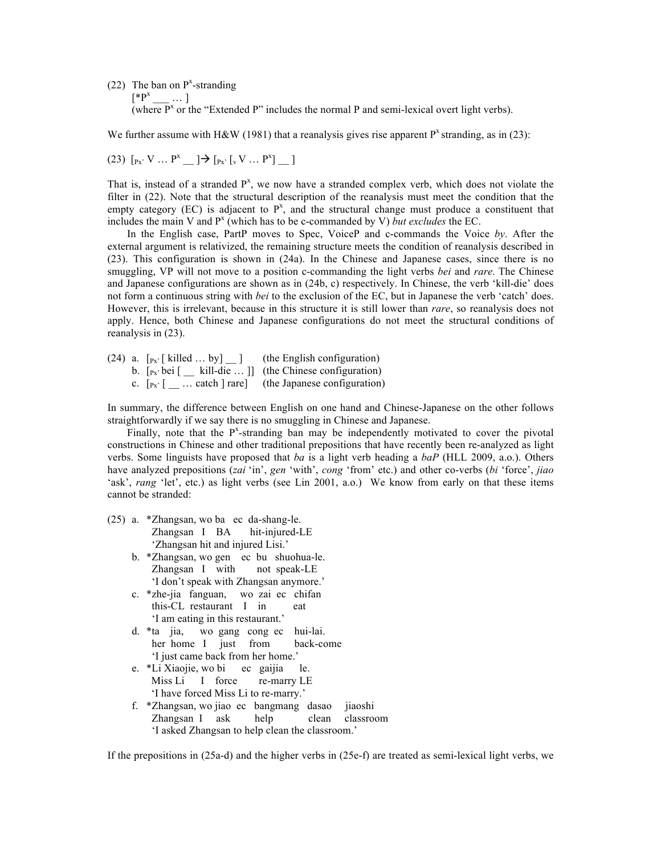(22) The ban on  $P^x$ -stranding

 $[{}^*P^x \_ \dots]$ 

(where  $P^x$  or the "Extended  $P$ " includes the normal P and semi-lexical overt light verbs).

We further assume with H&W (1981) that a reanalysis gives rise apparent  $P^x$  stranding, as in (23):

(23) 
$$
[p_x, V \dots P^x \_ ] \rightarrow [p_x, [V \dots P^x] \_ ]
$$

That is, instead of a stranded  $P^x$ , we now have a stranded complex verb, which does not violate the filter in (22). Note that the structural description of the reanalysis must meet the condition that the empty category (EC) is adjacent to  $P^x$ , and the structural change must produce a constituent that includes the main V and  $P^x$  (which has to be c-commanded by V) *but excludes* the EC.

In the English case, PartP moves to Spec, VoiceP and c-commands the Voice *by*. After the external argument is relativized, the remaining structure meets the condition of reanalysis described in (23). This configuration is shown in (24a). In the Chinese and Japanese cases, since there is no smuggling, VP will not move to a position c-commanding the light verbs *bei* and *rare.* The Chinese and Japanese configurations are shown as in (24b, c) respectively. In Chinese, the verb 'kill-die' does not form a continuous string with *bei* to the exclusion of the EC, but in Japanese the verb 'catch' does. However, this is irrelevant, because in this structure it is still lower than *rare*, so reanalysis does not apply. Hence, both Chinese and Japanese configurations do not meet the structural conditions of reanalysis in (23).

(24) a.  $[p_x]$  [killed ... by]  $\Box$  (the English configuration) b.  $[p_x, bei]$  [  $\equiv$  kill-die ... ]] (the Chinese configuration) c.  $[p_{x}$ <sup>[</sup>  $\ldots$  catch ] rare] (the Japanese configuration)

In summary, the difference between English on one hand and Chinese-Japanese on the other follows straightforwardly if we say there is no smuggling in Chinese and Japanese.

Finally, note that the  $P<sup>x</sup>$ -stranding ban may be independently motivated to cover the pivotal constructions in Chinese and other traditional prepositions that have recently been re-analyzed as light verbs. Some linguists have proposed that *ba* is a light verb heading a *baP* (HLL 2009, a.o.). Others have analyzed prepositions (*zai* 'in', *gen* 'with', *cong* 'from' etc.) and other co-verbs (*bi* 'force', *jiao* 'ask', *rang* 'let', etc.) as light verbs (see Lin 2001, a.o.) We know from early on that these items cannot be stranded:

- (25) a. \*Zhangsan, wo ba ec da-shang-le. Zhangsan I BA hit-injured-LE 'Zhangsan hit and injured Lisi.'
	- b. \*Zhangsan, wo gen ec bu shuohua-le. Zhangsan I with not speak-LE 'I don't speak with Zhangsan anymore.'
	- c. \*zhe-jia fanguan, wo zai ec chifan this-CL restaurant I in eat 'I am eating in this restaurant.'
	- d. \*ta jia, wo gang cong ec hui-lai. her home I just from back-come 'I just came back from her home.'
	- e. \*Li Xiaojie, wo bi ec gaijia le. Miss Li I force re-marry LE 'I have forced Miss Li to re-marry.'
	- f. \*Zhangsan, wo jiao ec bangmang dasao jiaoshi Zhangsan I ask help clean classroom 'I asked Zhangsan to help clean the classroom.'

If the prepositions in (25a-d) and the higher verbs in (25e-f) are treated as semi-lexical light verbs, we